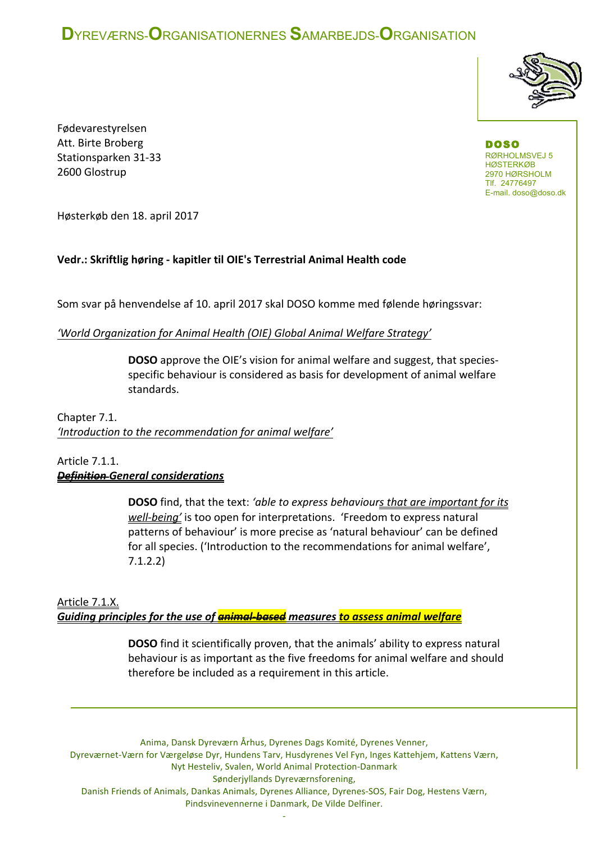# **D**YREVÆRNS-**O**RGANISATIONERNES **S**AMARBEJDS-**O**RGANISATION



Fødevarestyrelsen Att. Birte Broberg Stationsparken 31-33 2600 Glostrup

DOSO RØRHOLMSVEJ 5 HØSTERKØB 2970 HØRSHOLM Tlf. 24776497 E-mail. doso@doso.dk

Høsterkøb den 18. april 2017

### Vedr.: Skriftlig høring - kapitler til OIE's Terrestrial Animal Health code

Som svar på henvendelse af 10. april 2017 skal DOSO komme med følende høringssvar:

#### *'World Organization for Animal Health (OIE) Global Animal Welfare Strategy'*

**DOSO** approve the OIE's vision for animal welfare and suggest, that speciesspecific behaviour is considered as basis for development of animal welfare standards. 

Chapter 7.1. 'Introduction to the recommendation for animal welfare'

### Article 7.1.1. *Definition General considerations*

**DOSO** find, that the text: 'able to express behaviours that are important for its *well-being'* is too open for interpretations. 'Freedom to express natural patterns of behaviour' is more precise as 'natural behaviour' can be defined for all species. ('Introduction to the recommendations for animal welfare', 7.1.2.2)

### Article 7.1.X. *Guiding principles for the use of animal-based measures to assess animal welfare*

**DOSO** find it scientifically proven, that the animals' ability to express natural behaviour is as important as the five freedoms for animal welfare and should therefore be included as a requirement in this article.

Anima, Dansk Dyreværn Århus, Dyrenes Dags Komité, Dyrenes Venner, Dyreværnet-Værn for Værgeløse Dyr, Hundens Tarv, Husdyrenes Vel Fyn, Inges Kattehjem, Kattens Værn, Nyt Hesteliv, Svalen, World Animal Protection-Danmark Sønderjyllands Dyreværnsforening, Danish Friends of Animals, Dankas Animals, Dyrenes Alliance, Dyrenes-SOS, Fair Dog, Hestens Værn, Pindsvinevennerne i Danmark, De Vilde Delfiner.

-